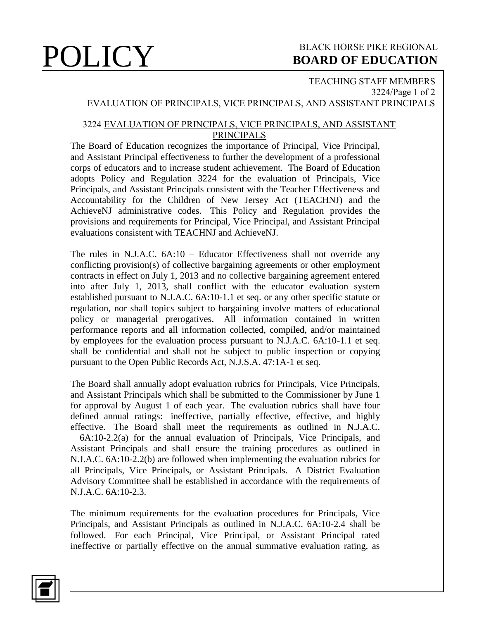## **POLICY** BLACK HORSE PIKE REGIONAL **BOARD OF EDUCATION BOARD OF EDUCATION**

#### TEACHING STAFF MEMBERS 3224/Page 1 of 2 EVALUATION OF PRINCIPALS, VICE PRINCIPALS, AND ASSISTANT PRINCIPALS

### 3224 EVALUATION OF PRINCIPALS, VICE PRINCIPALS, AND ASSISTANT PRINCIPALS

The Board of Education recognizes the importance of Principal, Vice Principal, and Assistant Principal effectiveness to further the development of a professional corps of educators and to increase student achievement. The Board of Education adopts Policy and Regulation 3224 for the evaluation of Principals, Vice Principals, and Assistant Principals consistent with the Teacher Effectiveness and Accountability for the Children of New Jersey Act (TEACHNJ) and the AchieveNJ administrative codes. This Policy and Regulation provides the provisions and requirements for Principal, Vice Principal, and Assistant Principal evaluations consistent with TEACHNJ and AchieveNJ.

The rules in N.J.A.C. 6A:10 – Educator Effectiveness shall not override any conflicting provision(s) of collective bargaining agreements or other employment contracts in effect on July 1, 2013 and no collective bargaining agreement entered into after July 1, 2013, shall conflict with the educator evaluation system established pursuant to N.J.A.C. 6A:10-1.1 et seq. or any other specific statute or regulation, nor shall topics subject to bargaining involve matters of educational policy or managerial prerogatives. All information contained in written performance reports and all information collected, compiled, and/or maintained by employees for the evaluation process pursuant to N.J.A.C. 6A:10-1.1 et seq. shall be confidential and shall not be subject to public inspection or copying pursuant to the Open Public Records Act, N.J.S.A. 47:1A-1 et seq.

The Board shall annually adopt evaluation rubrics for Principals, Vice Principals, and Assistant Principals which shall be submitted to the Commissioner by June 1 for approval by August 1 of each year. The evaluation rubrics shall have four defined annual ratings: ineffective, partially effective, effective, and highly effective. The Board shall meet the requirements as outlined in N.J.A.C.

 6A:10-2.2(a) for the annual evaluation of Principals, Vice Principals, and Assistant Principals and shall ensure the training procedures as outlined in N.J.A.C. 6A:10-2.2(b) are followed when implementing the evaluation rubrics for all Principals, Vice Principals, or Assistant Principals. A District Evaluation Advisory Committee shall be established in accordance with the requirements of N.J.A.C. 6A:10-2.3.

The minimum requirements for the evaluation procedures for Principals, Vice Principals, and Assistant Principals as outlined in N.J.A.C. 6A:10-2.4 shall be followed. For each Principal, Vice Principal, or Assistant Principal rated ineffective or partially effective on the annual summative evaluation rating, as